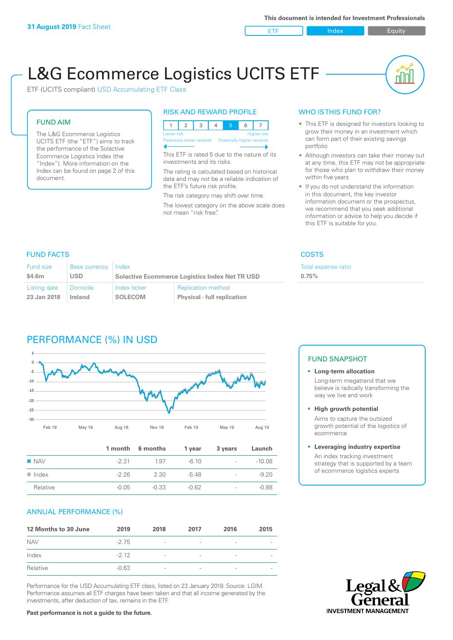ETF Index Builty

nn

# L&G Ecommerce Logistics UCITS ETF

ETF (UCITS compliant) USD Accumulating ETF Class

#### FUND AIM

The L&G Ecommerce Logistics UCITS ETF (the "ETF") aims to track the performance of the Solactive Ecommerce Logistics Index (the "Index"). More information on the Index can be found on page 2 of this document.

#### RISK AND REWARD PROFILE



This ETF is rated 5 due to the nature of its investments and its risks.

The rating is calculated based on historical data and may not be a reliable indication of the ETF's future risk profile.

The risk category may shift over time. The lowest category on the above scale does not mean "risk free".

#### WHO IS THIS FUND FOR?

- This ETF is designed for investors looking to grow their money in an investment which can form part of their existing savings portfolio
- Although investors can take their money out at any time, this ETF may not be appropriate for those who plan to withdraw their money within five years
- If you do not understand the information in this document, the key investor information document or the prospectus, we recommend that you seek additional information or advice to help you decide if this ETF is suitable for you.

**0.75%**

Total expense ratio

#### FUND FACTS COSTS

| Fund size    | <b>Base currency</b> | Index                                                 |                                    |  |
|--------------|----------------------|-------------------------------------------------------|------------------------------------|--|
| \$4.6m       | USD                  | <b>Solactive Ecommerce Logistics Index Net TR USD</b> |                                    |  |
| Listing date | <b>Domicile</b>      | Index ticker                                          | <b>Replication method</b>          |  |
| 23 Jan 2018  | Ireland              | <b>SOLECOM</b>                                        | <b>Physical - full replication</b> |  |

# PERFORMANCE (%) IN USD



|                      |         | 1 month 6 months | 1 year  | 3 years                  | Launch   |
|----------------------|---------|------------------|---------|--------------------------|----------|
| $\blacksquare$ NAV   | $-2.31$ | 1.97             | $-6.10$ | $\sim$                   | $-10.08$ |
| $\blacksquare$ Index | $-226$  | 2.30             | -548    | $\sim$                   | $-9.20$  |
| Relative             | $-0.05$ | $-0.33$          | $-0.62$ | $\overline{\phantom{a}}$ | $-0.88$  |

#### ANNUAL PERFORMANCE (%)

| 12 Months to 30 June | 2019    | 2018                     | 2017                     | 2016            | 2015 |
|----------------------|---------|--------------------------|--------------------------|-----------------|------|
| <b>NAV</b>           | $-2.75$ | $\overline{\phantom{a}}$ |                          | $\qquad \qquad$ |      |
| Index                | $-212$  | $\overline{\phantom{a}}$ | $\overline{\phantom{a}}$ | $\qquad \qquad$ |      |
| Relative             | $-0.63$ | $\overline{\phantom{a}}$ |                          |                 |      |

Performance for the USD Accumulating ETF class, listed on 23 January 2018. Source: LGIM. Performance assumes all ETF charges have been taken and that all income generated by the investments, after deduction of tax, remains in the ETF.

## FUND SNAPSHOT

**• Long-term allocation** Long-term megatrend that we believe is radically transforming the way we live and work

**• High growth potential** Aims to capture the outsized

growth potential of the logistics of ecommerce

#### **• Leveraging industry expertise**

An index tracking investment strategy that is supported by a team of ecommerce logistics experts



**Past performance is not a guide to the future.**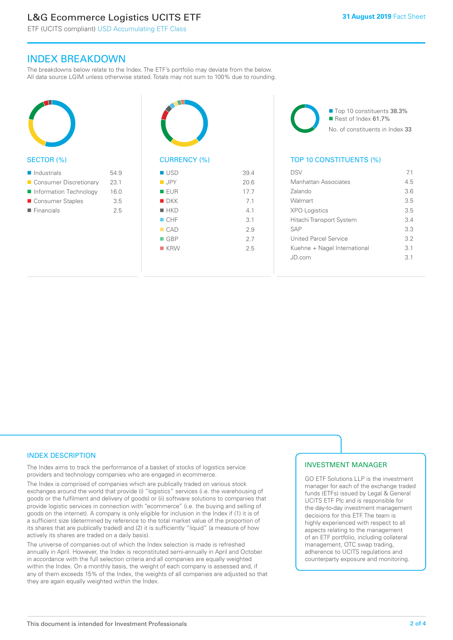# L&G Ecommerce Logistics UCITS ETF

ETF (UCITS compliant) USD Accumulating ETF Class

### INDEX BREAKDOWN

The breakdowns below relate to the Index. The ETF's portfolio may deviate from the below. All data source LGIM unless otherwise stated. Totals may not sum to 100% due to rounding.



#### SECTOR (%)

| $\blacksquare$ Industrials | 549  |
|----------------------------|------|
| ■ Consumer Discretionary   | 23.1 |
| Information Technology     | 16.0 |
| ■ Consumer Staples         | 3.5  |
| $\blacksquare$ Financials  | 25   |
|                            |      |



# CURRENCY (%)

| ■ USD              | 39.4 |
|--------------------|------|
| $\blacksquare$ JPY | 20.6 |
| <b>EUR</b>         | 17.7 |
| $\blacksquare$ DKK | 7.1  |
| $H$ HKD            | 4.1  |
| CHF                | 3.1  |
| CAD                | 2.9  |
| $\Box$ GBP         | 2.7  |
| $R$ KRW            | 2.5  |
|                    |      |

■ Top 10 constituents 38.3%  $\blacksquare$  Rest of Index 61.7% No. of constituents in Index 33

#### TOP 10 CONSTITUENTS (%)

| DSV                          | 71              |
|------------------------------|-----------------|
| Manhattan Associates         | 4.5             |
| Zalando                      | 3.6             |
| Walmart                      | 35              |
| <b>XPO Logistics</b>         | 35              |
| Hitachi Transport System     | $\mathcal{R}$ 4 |
| <b>SAP</b>                   | 3.3             |
| United Parcel Service        | 32              |
| Kuehne + Nagel International | $\overline{3}1$ |
| .JD com                      | $\overline{3}1$ |
|                              |                 |

#### INDEX DESCRIPTION

The Index aims to track the performance of a basket of stocks of logistics service providers and technology companies who are engaged in ecommerce.

The Index is comprised of companies which are publically traded on various stock exchanges around the world that provide (i) "logistics" services (i.e. the warehousing of goods or the fulfilment and delivery of goods) or (ii) software solutions to companies that provide logistic services in connection with "ecommerce" (i.e. the buying and selling of goods on the internet). A company is only eligible for inclusion in the Index if (1) it is of a sufficient size (determined by reference to the total market value of the proportion of its shares that are publically traded) and (2) it is sufficiently "liquid" (a measure of how actively its shares are traded on a daily basis).

The universe of companies out of which the Index selection is made is refreshed annually in April. However, the Index is reconstituted semi-annually in April and October in accordance with the full selection criteria and all companies are equally weighted within the Index. On a monthly basis, the weight of each company is assessed and, if any of them exceeds 15% of the Index, the weights of all companies are adjusted so that they are again equally weighted within the Index.

#### INVESTMENT MANAGER

GO ETF Solutions LLP is the investment manager for each of the exchange traded funds (ETFs) issued by Legal & General UCITS ETF Plc and is responsible for the day-to-day investment management decisions for this ETF. The team is highly experienced with respect to all aspects relating to the management of an ETF portfolio, including collateral management, OTC swap trading, adherence to UCITS regulations and counterparty exposure and monitoring.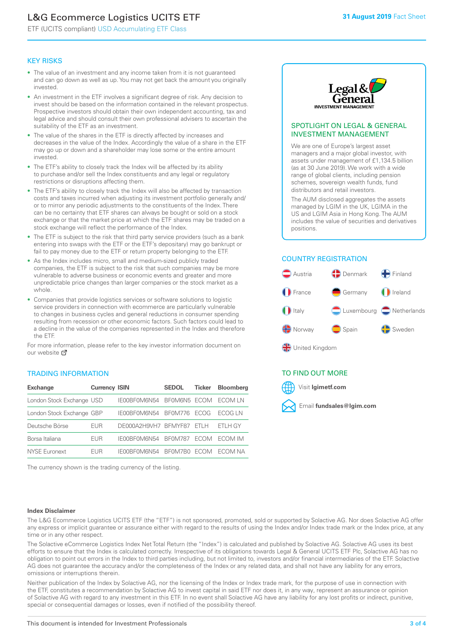# L&G Ecommerce Logistics UCITS ETF

ETF (UCITS compliant) USD Accumulating ETF Class

#### KEY RISKS

- The value of an investment and any income taken from it is not guaranteed and can go down as well as up. You may not get back the amount you originally invested.
- An investment in the ETF involves a significant degree of risk. Any decision to invest should be based on the information contained in the relevant prospectus. Prospective investors should obtain their own independent accounting, tax and legal advice and should consult their own professional advisers to ascertain the suitability of the ETF as an investment.
- The value of the shares in the ETF is directly affected by increases and decreases in the value of the Index. Accordingly the value of a share in the ETF may go up or down and a shareholder may lose some or the entire amount invested.
- The ETF's ability to closely track the Index will be affected by its ability to purchase and/or sell the Index constituents and any legal or regulatory restrictions or disruptions affecting them.
- The ETF's ability to closely track the Index will also be affected by transaction costs and taxes incurred when adjusting its investment portfolio generally and/ or to mirror any periodic adjustments to the constituents of the Index. There can be no certainty that ETF shares can always be bought or sold on a stock exchange or that the market price at which the ETF shares may be traded on a stock exchange will reflect the performance of the Index.
- The ETF is subject to the risk that third party service providers (such as a bank entering into swaps with the ETF or the ETF's depositary) may go bankrupt or fail to pay money due to the ETF or return property belonging to the ETF.
- As the Index includes micro, small and medium-sized publicly traded companies, the ETF is subject to the risk that such companies may be more vulnerable to adverse business or economic events and greater and more unpredictable price changes than larger companies or the stock market as a whole.
- Companies that provide logistics services or software solutions to logistic service providers in connection with ecommerce are particularly vulnerable to changes in business cycles and general reductions in consumer spending resulting from recession or other economic factors. Such factors could lead to a decline in the value of the companies represented in the Index and therefore the ETF.

For more information, please refer to the key investor information document on our website **Z** 

#### TRADING INFORMATION

| <b>Exchange</b>           | <b>Currency ISIN</b> |                      | <b>SEDOL</b>   | <b>Ticker</b> | Bloomberg |
|---------------------------|----------------------|----------------------|----------------|---------------|-----------|
| London Stock Exchange USD |                      | IE00BF0M6N54         | BFOM6N5 ECOM   |               | ECOM IN   |
| London Stock Exchange GBP |                      | IE00BF0M6N54         | BF0M776        | <b>FCOG</b>   | FCOG IN   |
| Deutsche Börse            | EUR                  | DE000A2H9VH7 BFMYF87 |                | FTI H         | ETLH GY   |
| Borsa Italiana            | EUR                  | IE00BF0M6N54         | <b>BF0M787</b> | <b>FCOM</b>   | ECOM IM   |
| NYSE Euronext             | <b>FUR</b>           | IF00BF0M6N54         | BF0M7B0        | <b>ECOM</b>   | FCOM NA   |

The currency shown is the trading currency of the listing.



#### SPOTLIGHT ON LEGAL & GENERAL INVESTMENT MANAGEMENT

We are one of Europe's largest asset managers and a major global investor, with assets under management of £1,134.5 billion (as at 30 June 2019). We work with a wide range of global clients, including pension schemes, sovereign wealth funds, fund distributors and retail investors.

The AUM disclosed aggregates the assets managed by LGIM in the UK, LGIMA in the US and LGIM Asia in Hong Kong. The AUM includes the value of securities and derivatives positions.

### COUNTRY REGISTRATION



#### TO FIND OUT MORE



#### **Index Disclaimer**

The L&G Ecommerce Logistics UCITS ETF (the "ETF") is not sponsored, promoted, sold or supported by Solactive AG. Nor does Solactive AG offer any express or implicit guarantee or assurance either with regard to the results of using the Index and/or Index trade mark or the Index price, at any time or in any other respect.

The Solactive eCommerce Logistics Index Net Total Return (the "Index") is calculated and published by Solactive AG. Solactive AG uses its best efforts to ensure that the Index is calculated correctly. Irrespective of its obligations towards Legal & General UCITS ETF Plc, Solactive AG has no obligation to point out errors in the Index to third parties including, but not limited to, investors and/or financial intermediaries of the ETF. Solactive AG does not guarantee the accuracy and/or the completeness of the Index or any related data, and shall not have any liability for any errors, omissions or interruptions therein.

Neither publication of the Index by Solactive AG, nor the licensing of the Index or Index trade mark, for the purpose of use in connection with the ETF, constitutes a recommendation by Solactive AG to invest capital in said ETF nor does it, in any way, represent an assurance or opinion of Solactive AG with regard to any investment in this ETF. In no event shall Solactive AG have any liability for any lost profits or indirect, punitive, special or consequential damages or losses, even if notified of the possibility thereof.